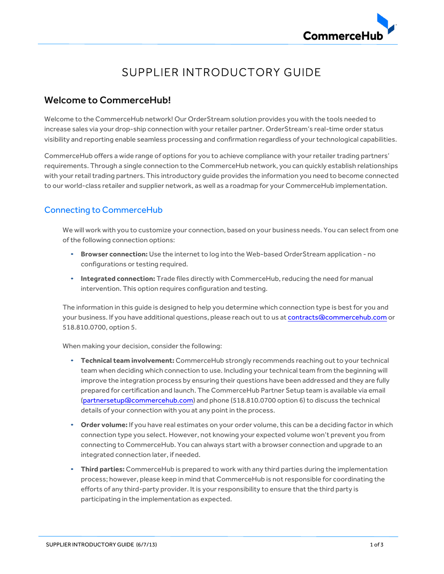

# SUPPLIER INTRODUCTORY GUIDE

# Welcome to CommerceHub!

Welcome to the CommerceHub network! Our OrderStream solution provides you with the tools needed to increase sales via your drop-ship connection with your retailer partner. OrderStream's real-time order status visibility and reporting enable seamless processing and confirmation regardless of your technological capabilities.

CommerceHub offers a wide range of options for you to achieve compliance with your retailer trading partners' requirements. Through a single connection to the CommerceHub network, you can quickly establish relationships with your retail trading partners. This introductory guide provides the information you need to become connected to our world-class retailer and supplier network, as well as a roadmap for your CommerceHub implementation.

### Connecting to CommerceHub

We will work with you to customize your connection, based on your business needs. You can select from one of the following connection options:

- **Browser connection:** Use the internet to log into the Web-based OrderStream application no configurations or testing required.
- **Integrated connection:** Trade files directly with CommerceHub, reducing the need for manual intervention. This option requires configuration and testing.

The information in this guide is designed to help you determine which connection type is best for you and your business. If you have additional questions, please reach out to us at contracts@commercehub.com or 518.810.0700, option 5.

When making your decision, consider the following:

- **Technical team involvement:** CommerceHub strongly recommends reaching out to yourtechnical team when deciding which connection to use. Including your technical team from the beginning will improve the integration process by ensuring their questions have been addressed and they are fully prepared for certification and launch. The CommerceHub Partner Setup team is available via email (partnersetup@commercehub.com) and phone (518.810.0700 option 6) to discuss the technical details of your connection with you at any point in the process.
- **Order volume:** If you have real estimates on your order volume, this can be a deciding factor in which connection type you select. However, not knowing your expected volume won't prevent you from connecting to CommerceHub. You can always start with a browser connection and upgrade to an integrated connection later, if needed.
- **Third parties:** CommerceHub is prepared to work with any third parties during the implementation process; however, please keep in mind that CommerceHub is not responsible for coordinating the efforts of any third-party provider. It is your responsibility to ensure that the third party is participating in the implementation as expected.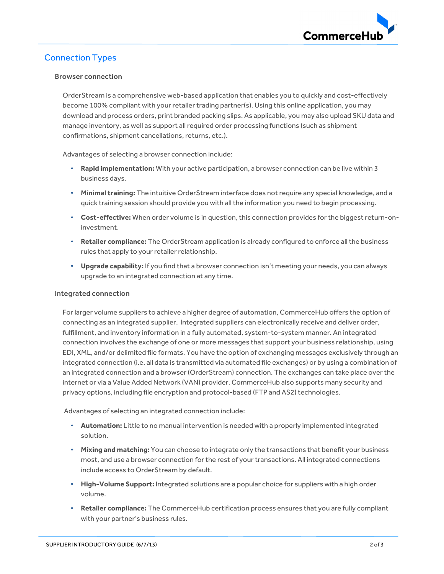

# Connection Types

#### Browser connection

OrderStream is a comprehensive web-based application that enables you to quickly and cost-effectively become 100% compliant with your retailer trading partner(s). Using this online application, you may download and process orders, print branded packing slips. As applicable, you may also upload SKU data and manage inventory, as well as support all required order processing functions (such as shipment confirmations, shipment cancellations, returns, etc.).

Advantages of selecting a browser connection include:

- **Rapid implementation:** With your active participation, a browser connection can be live within 3 business days.
- **Minimal training:** The intuitive OrderStream interface does not require any special knowledge, and a quick training session should provide you with all the information you need to begin processing.
- **Cost-effective:** When order volume is in question, this connection provides for the biggest return-oninvestment.
- **Retailer compliance:** The OrderStream application is already configured to enforce all the business rules that apply to your retailer relationship.
- **Upgrade capability:** If you find that a browser connection isn't meeting your needs, you can always upgrade to an integrated connection at any time.

#### Integrated connection

For larger volume suppliers to achieve a higher degree of automation, CommerceHub offers the option of connecting as an integrated supplier. Integrated suppliers can electronically receive and deliver order, fulfillment, and inventory information in a fully automated, system-to-system manner. An integrated connection involves the exchange of one or more messages that support your business relationship, using EDI, XML, and/or delimited file formats. You have the option of exchanging messages exclusively through an integrated connection (i.e. all data is transmitted via automated file exchanges) or by using a combination of an integrated connection and a browser (OrderStream) connection. The exchanges can take place over the internet or via a Value Added Network (VAN) provider. CommerceHub also supports many security and privacy options, including file encryption and protocol-based (FTP and AS2) technologies.

Advantages of selecting an integrated connection include:

- **Automation:** Little to no manual intervention is needed with a properly implemented integrated solution.
- **Mixing and matching:** You can choose to integrate only the transactions that benefit your business most, and use a browser connection for the rest of your transactions. All integrated connections include access to OrderStream by default.
- **High-Volume Support:** Integrated solutions are a popular choice for suppliers with a high order volume.
- **Retailer compliance:** The CommerceHub certification process ensures that you are fully compliant with your partner's business rules.